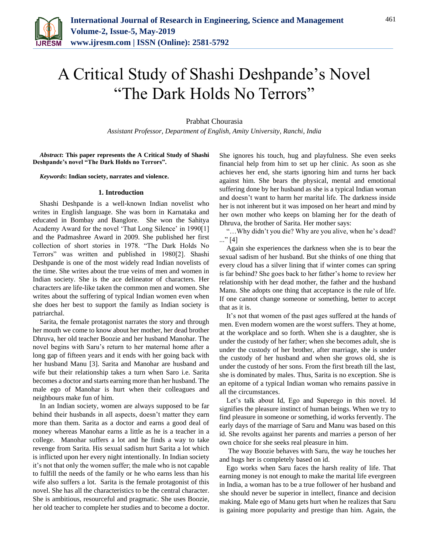

## A Critical Study of Shashi Deshpande's Novel "The Dark Holds No Terrors"

Prabhat Chourasia

*Assistant Professor, Department of English, Amity University, Ranchi, India*

*Abstract***: This paper represents the A Critical Study of Shashi Deshpande's novel "The Dark Holds no Terrors".**

*Keywords***: Indian society, narrates and violence.**

## **1. Introduction**

Shashi Deshpande is a well-known Indian novelist who writes in English language. She was born in Karnataka and educated in Bombay and Banglore. She won the Sahitya Academy Award for the novel 'That Long Silence' in 1990[1] and the Padmashree Award in 2009. She published her first collection of short stories in 1978. "The Dark Holds No Terrors" was written and published in 1980[2]. Shashi Deshpande is one of the most widely read Indian novelists of the time. She writes about the true veins of men and women in Indian society. She is the ace delineator of characters. Her characters are life-like taken the common men and women. She writes about the suffering of typical Indian women even when she does her best to support the family as Indian society is patriarchal.

Sarita, the female protagonist narrates the story and through her mouth we come to know about her mother, her dead brother Dhruva, her old teacher Boozie and her husband Manohar. The novel begins with Saru's return to her maternal home after a long gap of fifteen years and it ends with her going back with her husband Manu [3]. Sarita and Manohar are husband and wife but their relationship takes a turn when Saro i.e. Sarita becomes a doctor and starts earning more than her husband. The male ego of Manohar is hurt when their colleagues and neighbours make fun of him.

In an Indian society, women are always supposed to be far behind their husbands in all aspects, doesn't matter they earn more than them. Sarita as a doctor and earns a good deal of money whereas Manohar earns a little as he is a teacher in a college. Manohar suffers a lot and he finds a way to take revenge from Sarita. His sexual sadism hurt Sarita a lot which is inflicted upon her every night intentionally. In Indian society it's not that only the women suffer; the male who is not capable to fulfill the needs of the family or he who earns less than his wife also suffers a lot. Sarita is the female protagonist of this novel. She has all the characteristics to be the central character. She is ambitious, resourceful and pragmatic. She uses Boozie, her old teacher to complete her studies and to become a doctor.

She ignores his touch, hug and playfulness. She even seeks financial help from him to set up her clinic. As soon as she achieves her end, she starts ignoring him and turns her back against him. She bears the physical, mental and emotional suffering done by her husband as she is a typical Indian woman and doesn't want to harm her marital life. The darkness inside her is not inherent but it was imposed on her heart and mind by her own mother who keeps on blaming her for the death of Dhruva, the brother of Sarita. Her mother says:

"…Why didn't you die? Why are you alive, when he's dead? ..." [4]

Again she experiences the darkness when she is to bear the sexual sadism of her husband. But she thinks of one thing that every cloud has a silver lining that if winter comes can spring is far behind? She goes back to her father's home to review her relationship with her dead mother, the father and the husband Manu. She adopts one thing that acceptance is the rule of life. If one cannot change someone or something, better to accept that as it is.

It's not that women of the past ages suffered at the hands of men. Even modern women are the worst suffers. They at home, at the workplace and so forth. When she is a daughter, she is under the custody of her father; when she becomes adult, she is under the custody of her brother, after marriage, she is under the custody of her husband and when she grows old, she is under the custody of her sons. From the first breath till the last, she is dominated by males. Thus, Sarita is no exception. She is an epitome of a typical Indian woman who remains passive in all the circumstances.

Let's talk about Id, Ego and Superego in this novel. Id signifies the pleasure instinct of human beings. When we try to find pleasure in someone or something, id works fervently. The early days of the marriage of Saru and Manu was based on this id. She revolts against her parents and marries a person of her own choice for she seeks real pleasure in him.

The way Boozie behaves with Saru, the way he touches her and hugs her is completely based on id.

Ego works when Saru faces the harsh reality of life. That earning money is not enough to make the marital life evergreen in India, a woman has to be a true follower of her husband and she should never be superior in intellect, finance and decision making. Male ego of Manu gets hurt when he realizes that Saru is gaining more popularity and prestige than him. Again, the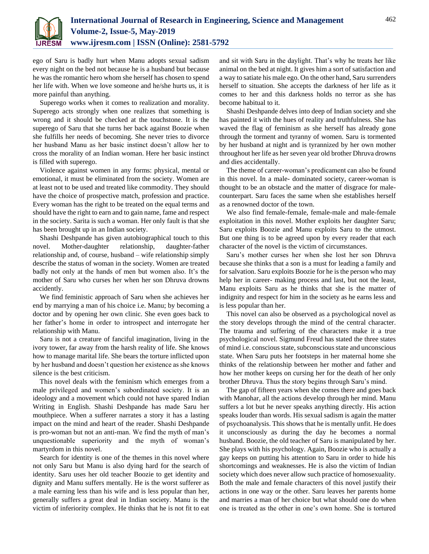

ego of Saru is badly hurt when Manu adopts sexual sadism every night on the bed not because he is a husband but because he was the romantic hero whom she herself has chosen to spend her life with. When we love someone and he/she hurts us, it is more painful than anything.

Superego works when it comes to realization and morality. Superego acts strongly when one realizes that something is wrong and it should be checked at the touchstone. It is the superego of Saru that she turns her back against Boozie when she fulfills her needs of becoming. She never tries to divorce her husband Manu as her basic instinct doesn't allow her to cross the morality of an Indian woman. Here her basic instinct is filled with superego.

Violence against women in any forms: physical, mental or emotional, it must be eliminated from the society. Women are at least not to be used and treated like commodity. They should have the choice of prospective match, profession and practice. Every woman has the right to be treated on the equal terms and should have the right to earn and to gain name, fame and respect in the society. Sarita is such a woman. Her only fault is that she has been brought up in an Indian society.

Shashi Deshpande has given autobiographical touch to this novel. Mother-daughter relationship, daughter-father relationship and, of course, husband – wife relationship simply describe the status of woman in the society. Women are treated badly not only at the hands of men but women also. It's the mother of Saru who curses her when her son Dhruva drowns accidently.

We find feministic approach of Saru when she achieves her end by marrying a man of his choice i.e. Manu; by becoming a doctor and by opening her own clinic. She even goes back to her father's home in order to introspect and interrogate her relationship with Manu.

Saru is not a creature of fanciful imagination, living in the ivory tower, far away from the harsh reality of life. She knows how to manage marital life. She bears the torture inflicted upon by her husband and doesn't question her existence as she knows silence is the best criticism.

This novel deals with the feminism which emerges from a male privileged and women's subordinated society. It is an ideology and a movement which could not have spared Indian Writing in English. Shashi Deshpande has made Saru her mouthpiece. When a sufferer narrates a story it has a lasting impact on the mind and heart of the reader. Shashi Deshpande is pro-woman but not an anti-man. We find the myth of man's unquestionable superiority and the myth of woman's martyrdom in this novel.

Search for identity is one of the themes in this novel where not only Saru but Manu is also dying hard for the search of identity. Saru uses her old teacher Boozie to get identity and dignity and Manu suffers mentally. He is the worst sufferer as a male earning less than his wife and is less popular than her, generally suffers a great deal in Indian society. Manu is the victim of inferiority complex. He thinks that he is not fit to eat and sit with Saru in the daylight. That's why he treats her like animal on the bed at night. It gives him a sort of satisfaction and a way to satiate his male ego. On the other hand, Saru surrenders herself to situation. She accepts the darkness of her life as it comes to her and this darkness holds no terror as she has become habitual to it.

Shashi Deshpande delves into deep of Indian society and she has painted it with the hues of reality and truthfulness. She has waved the flag of feminism as she herself has already gone through the torment and tyranny of women. Saru is tormented by her husband at night and is tyrannized by her own mother throughout her life as her seven year old brother Dhruva drowns and dies accidentally.

The theme of career-woman's predicament can also be found in this novel. In a male- dominated society, career-woman is thought to be an obstacle and the matter of disgrace for malecounterpart. Saru faces the same when she establishes herself as a renowned doctor of the town.

We also find female-female, female-male and male-female exploitation in this novel. Mother exploits her daughter Saru; Saru exploits Boozie and Manu exploits Saru to the utmost. But one thing is to be agreed upon by every reader that each character of the novel is the victim of circumstances.

Saru's mother curses her when she lost her son Dhruva because she thinks that a son is a must for leading a family and for salvation. Saru exploits Boozie for he is the person who may help her in career- making process and last, but not the least, Manu exploits Saru as he thinks that she is the matter of indignity and respect for him in the society as he earns less and is less popular than her.

This novel can also be observed as a psychological novel as the story develops through the mind of the central character. The trauma and suffering of the characters make it a true psychological novel. Sigmund Freud has stated the three states of mind i.e. conscious state, subconscious state and unconscious state. When Saru puts her footsteps in her maternal home she thinks of the relationship between her mother and father and how her mother keeps on cursing her for the death of her only brother Dhruva. Thus the story begins through Saru's mind.

The gap of fifteen years when she comes there and goes back with Manohar, all the actions develop through her mind. Manu suffers a lot but he never speaks anything directly. His action speaks louder than words. His sexual sadism is again the matter of psychoanalysis. This shows that he is mentally unfit. He does it unconsciously as during the day he becomes a normal husband. Boozie, the old teacher of Saru is manipulated by her. She plays with his psychology. Again, Boozie who is actually a gay keeps on putting his attention to Saru in order to hide his shortcomings and weaknesses. He is also the victim of Indian society which does never allow such practice of homosexuality. Both the male and female characters of this novel justify their actions in one way or the other. Saru leaves her parents home and marries a man of her choice but what should one do when one is treated as the other in one's own home. She is tortured